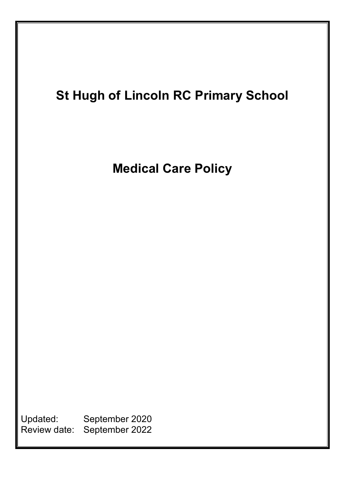